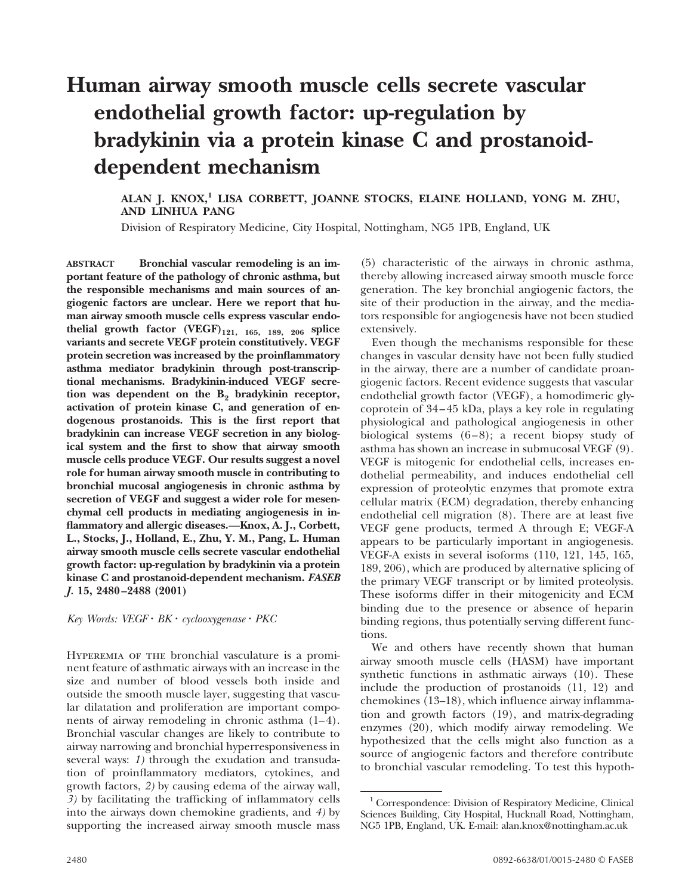# **Human airway smooth muscle cells secrete vascular endothelial growth factor: up-regulation by bradykinin via a protein kinase C and prostanoiddependent mechanism**

# **ALAN J. KNOX,1 LISA CORBETT, JOANNE STOCKS, ELAINE HOLLAND, YONG M. ZHU, AND LINHUA PANG**

Division of Respiratory Medicine, City Hospital, Nottingham, NG5 1PB, England, UK

**ABSTRACT Bronchial vascular remodeling is an important feature of the pathology of chronic asthma, but the responsible mechanisms and main sources of angiogenic factors are unclear. Here we report that human airway smooth muscle cells express vascular endothelial growth factor (VEGF)121, 165, 189, 206 splice variants and secrete VEGF protein constitutively. VEGF protein secretion was increased by the proinflammatory asthma mediator bradykinin through post-transcriptional mechanisms. Bradykinin-induced VEGF secre**tion was dependent on the B<sub>2</sub> bradykinin receptor, **activation of protein kinase C, and generation of endogenous prostanoids. This is the first report that bradykinin can increase VEGF secretion in any biological system and the first to show that airway smooth muscle cells produce VEGF. Our results suggest a novel role for human airway smooth muscle in contributing to bronchial mucosal angiogenesis in chronic asthma by secretion of VEGF and suggest a wider role for mesenchymal cell products in mediating angiogenesis in inflammatory and allergic diseases.—Knox, A. J., Corbett, L., Stocks, J., Holland, E., Zhu, Y. M., Pang, L. Human airway smooth muscle cells secrete vascular endothelial growth factor: up-regulation by bradykinin via a protein kinase C and prostanoid-dependent mechanism.** *FASEB J.* **15, 2480–2488 (2001)**

*Key Words: VEGF* · *BK* · *cyclooxygenase* · *PKC* 

Hyperemia of the bronchial vasculature is a prominent feature of asthmatic airways with an increase in the size and number of blood vessels both inside and outside the smooth muscle layer, suggesting that vascular dilatation and proliferation are important components of airway remodeling in chronic asthma (1–4). Bronchial vascular changes are likely to contribute to airway narrowing and bronchial hyperresponsiveness in several ways: *1)* through the exudation and transudation of proinflammatory mediators, cytokines, and growth factors, *2)* by causing edema of the airway wall, *3)* by facilitating the trafficking of inflammatory cells into the airways down chemokine gradients, and *4)* by supporting the increased airway smooth muscle mass

(5) characteristic of the airways in chronic asthma, thereby allowing increased airway smooth muscle force generation. The key bronchial angiogenic factors, the site of their production in the airway, and the mediators responsible for angiogenesis have not been studied extensively.

Even though the mechanisms responsible for these changes in vascular density have not been fully studied in the airway, there are a number of candidate proangiogenic factors. Recent evidence suggests that vascular endothelial growth factor (VEGF), a homodimeric glycoprotein of 34–45 kDa, plays a key role in regulating physiological and pathological angiogenesis in other biological systems (6–8); a recent biopsy study of asthma has shown an increase in submucosal VEGF (9). VEGF is mitogenic for endothelial cells, increases endothelial permeability, and induces endothelial cell expression of proteolytic enzymes that promote extra cellular matrix (ECM) degradation, thereby enhancing endothelial cell migration (8). There are at least five VEGF gene products, termed A through E; VEGF-A appears to be particularly important in angiogenesis. VEGF-A exists in several isoforms (110, 121, 145, 165, 189, 206), which are produced by alternative splicing of the primary VEGF transcript or by limited proteolysis. These isoforms differ in their mitogenicity and ECM binding due to the presence or absence of heparin binding regions, thus potentially serving different functions.

We and others have recently shown that human airway smooth muscle cells (HASM) have important synthetic functions in asthmatic airways (10). These include the production of prostanoids (11, 12) and chemokines (13–18), which influence airway inflammation and growth factors (19), and matrix-degrading enzymes (20), which modify airway remodeling. We hypothesized that the cells might also function as a source of angiogenic factors and therefore contribute to bronchial vascular remodeling. To test this hypoth-

<sup>&</sup>lt;sup>1</sup> Correspondence: Division of Respiratory Medicine, Clinical Sciences Building, City Hospital, Hucknall Road, Nottingham, NG5 1PB, England, UK. E-mail: alan.knox@nottingham.ac.uk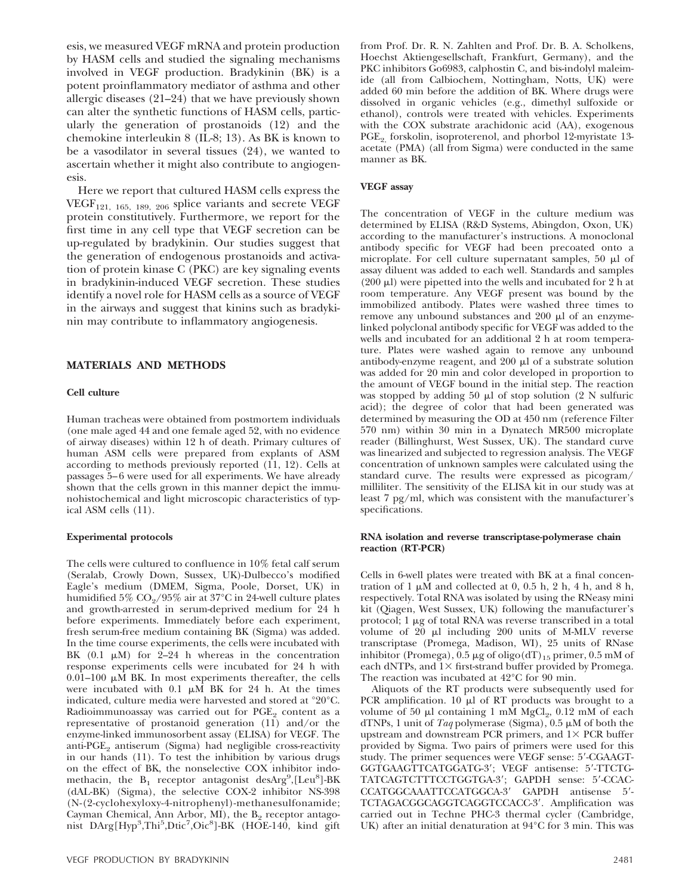esis, we measured VEGF mRNA and protein production by HASM cells and studied the signaling mechanisms involved in VEGF production. Bradykinin (BK) is a potent proinflammatory mediator of asthma and other allergic diseases (21–24) that we have previously shown can alter the synthetic functions of HASM cells, particularly the generation of prostanoids (12) and the chemokine interleukin 8 (IL-8; 13). As BK is known to be a vasodilator in several tissues (24), we wanted to ascertain whether it might also contribute to angiogenesis.

Here we report that cultured HASM cells express the VEGF<sub>121, 165, 189, 206</sub> splice variants and secrete VEGF protein constitutively. Furthermore, we report for the first time in any cell type that VEGF secretion can be up-regulated by bradykinin. Our studies suggest that the generation of endogenous prostanoids and activation of protein kinase C (PKC) are key signaling events in bradykinin-induced VEGF secretion. These studies identify a novel role for HASM cells as a source of VEGF in the airways and suggest that kinins such as bradykinin may contribute to inflammatory angiogenesis.

# **MATERIALS AND METHODS**

## **Cell culture**

Human tracheas were obtained from postmortem individuals (one male aged 44 and one female aged 52, with no evidence of airway diseases) within 12 h of death. Primary cultures of human ASM cells were prepared from explants of ASM according to methods previously reported (11, 12). Cells at passages 5–6 were used for all experiments. We have already shown that the cells grown in this manner depict the immunohistochemical and light microscopic characteristics of typical ASM cells (11).

#### **Experimental protocols**

The cells were cultured to confluence in 10% fetal calf serum (Seralab, Crowly Down, Sussex, UK)-Dulbecco's modified Eagle's medium (DMEM, Sigma, Poole, Dorset, UK) in humidified 5%  $CO_2/95\%$  air at 37°C in 24-well culture plates and growth-arrested in serum-deprived medium for 24 h before experiments. Immediately before each experiment, fresh serum-free medium containing BK (Sigma) was added. In the time course experiments, the cells were incubated with BK  $(0.1 \mu M)$  for  $2-24$  h whereas in the concentration response experiments cells were incubated for 24 h with 0.01–100  $\mu\overline{M}$  BK. In most experiments thereafter, the cells were incubated with  $0.1 \mu M$  BK for 24 h. At the times indicated, culture media were harvested and stored at °20°C. Radioimmunoassay was carried out for  $PGE_2$  content as a representative of prostanoid generation (11) and/or the enzyme-linked immunosorbent assay (ELISA) for VEGF. The anti- $PGE<sub>2</sub>$  antiserum (Sigma) had negligible cross-reactivity in our hands (11). To test the inhibition by various drugs on the effect of BK, the nonselective COX inhibitor indomethacin, the  $B_1$  receptor antagonist desArg<sup>9</sup>,[Leu<sup>8</sup>]-BK (dAL-BK) (Sigma), the selective COX-2 inhibitor NS-398 (N-(2-cyclohexyloxy-4-nitrophenyl)-methanesulfonamide; Cayman Chemical, Ann Arbor, MI), the  $B<sub>2</sub>$  receptor antagonist DArg[Hyp<sup>3</sup>,Thi<sup>5</sup>,Dtic<sup>7</sup>,Oic<sup>8</sup>]-BK (HOE-140, kind gift

from Prof. Dr. R. N. Zahlten and Prof. Dr. B. A. Scholkens, Hoechst Aktiengesellschaft, Frankfurt, Germany), and the PKC inhibitors Go6983, calphostin C, and bis-indolyl maleimide (all from Calbiochem, Nottingham, Notts, UK) were added 60 min before the addition of BK. Where drugs were dissolved in organic vehicles (e.g., dimethyl sulfoxide or ethanol), controls were treated with vehicles. Experiments with the COX substrate arachidonic acid (AA), exogenous PGE<sub>2</sub> forskolin, isoproterenol, and phorbol 12-myristate 13acetate (PMA) (all from Sigma) were conducted in the same manner as BK.

# **VEGF assay**

The concentration of VEGF in the culture medium was determined by ELISA (R&D Systems, Abingdon, Oxon, UK) according to the manufacturer's instructions. A monoclonal antibody specific for VEGF had been precoated onto a microplate. For cell culture supernatant samples,  $50 \mu l$  of assay diluent was added to each well. Standards and samples  $(200 \mu l)$  were pipetted into the wells and incubated for 2 h at room temperature. Any VEGF present was bound by the immobilized antibody. Plates were washed three times to remove any unbound substances and  $200 \mu l$  of an enzymelinked polyclonal antibody specific for VEGF was added to the wells and incubated for an additional 2 h at room temperature. Plates were washed again to remove any unbound antibody-enzyme reagent, and 200  $\mu$ l of a substrate solution was added for 20 min and color developed in proportion to the amount of VEGF bound in the initial step. The reaction was stopped by adding 50  $\mu$ l of stop solution (2 N sulfuric acid); the degree of color that had been generated was determined by measuring the OD at 450 nm (reference Filter 570 nm) within 30 min in a Dynatech MR500 microplate reader (Billinghurst, West Sussex, UK). The standard curve was linearized and subjected to regression analysis. The VEGF concentration of unknown samples were calculated using the standard curve. The results were expressed as picogram/ milliliter. The sensitivity of the ELISA kit in our study was at least 7 pg/ml, which was consistent with the manufacturer's specifications.

# **RNA isolation and reverse transcriptase-polymerase chain reaction (RT-PCR)**

Cells in 6-well plates were treated with BK at a final concentration of 1  $\mu \hat{M}$  and collected at 0, 0.5 h, 2 h, 4 h, and 8 h, respectively. Total RNA was isolated by using the RNeasy mini kit (Qiagen, West Sussex, UK) following the manufacturer's protocol;  $1 \mu$ g of total RNA was reverse transcribed in a total volume of 20  $\mu$ l including 200 units of M-MLV reverse transcriptase (Promega, Madison, WI), 25 units of RNase inhibitor (Promega),  $\tilde{0}$ .5 µg of oligo(dT)<sub>15</sub> primer, 0.5 mM of each dNTPs, and  $1\times$  first-strand buffer provided by Promega. The reaction was incubated at 42°C for 90 min.

Aliquots of the RT products were subsequently used for PCR amplification.  $10 \mu l$  of RT products was brought to a volume of 50  $\mu$ l containing 1 mM MgCl<sub>2</sub>, 0.12 mM of each dTNPs, 1 unit of *Taq* polymerase (Sigma),  $0.5 \mu M$  of both the upstream and downstream PCR primers, and  $1\times$  PCR buffer provided by Sigma. Two pairs of primers were used for this study. The primer sequences were VEGF sense: 5'-CGAAGT-GGTGAAGTTCATGGATG-3'; VEGF antisense: 5'-TTCTG-TATCAGTCTTTCCTGGTGA-3'; GAPDH sense: 5'-CCAC-CCATGGCAAATTCCATGGCA-3' GAPDH antisense 5'-TCTAGACGGCAGGTCAGGTCCACC-3'. Amplification was carried out in Techne PHC-3 thermal cycler (Cambridge, UK) after an initial denaturation at 94°C for 3 min. This was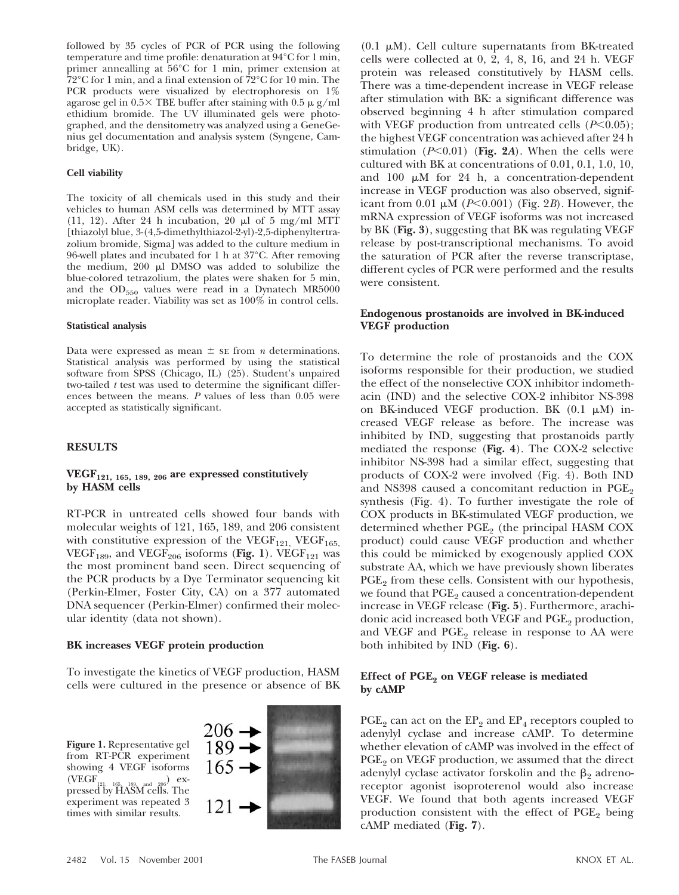followed by 35 cycles of PCR of PCR using the following temperature and time profile: denaturation at 94°C for 1 min, primer annealling at 56°C for 1 min, primer extension at 72°C for 1 min, and a final extension of 72°C for 10 min. The PCR products were visualized by electrophoresis on 1% agarose gel in  $0.5 \times$  TBE buffer after staining with  $0.5 \mu$  g/ml ethidium bromide. The UV illuminated gels were photographed, and the densitometry was analyzed using a GeneGenius gel documentation and analysis system (Syngene, Cambridge, UK).

# **Cell viability**

The toxicity of all chemicals used in this study and their vehicles to human ASM cells was determined by MTT assay (11, 12). After 24 h incubation, 20  $\mu$ l of 5 mg/ml MTT [thiazolyl blue, 3-(4,5-dimethylthiazol-2-yl)-2,5-diphenyltertrazolium bromide, Sigma] was added to the culture medium in 96-well plates and incubated for 1 h at 37°C. After removing the medium,  $200 \mu l$  DMSO was added to solubilize the blue-colored tetrazolium, the plates were shaken for 5 min, and the  $OD_{550}$  values were read in a Dynatech MR5000 microplate reader. Viability was set as 100% in control cells.

#### **Statistical analysis**

Data were expressed as mean  $\pm$  se from *n* determinations. Statistical analysis was performed by using the statistical software from SPSS (Chicago, IL) (25). Student's unpaired two-tailed *t* test was used to determine the significant differences between the means. *P* values of less than 0.05 were accepted as statistically significant.

# **RESULTS**

# **VEGF121, 165, 189, 206 are expressed constitutively by HASM cells**

RT-PCR in untreated cells showed four bands with molecular weights of 121, 165, 189, and 206 consistent with constitutive expression of the VEGF<sub>121,</sub> VEGF<sub>165,</sub> VEGF<sub>189</sub>, and VEGF<sub>206</sub> isoforms (Fig. 1). VEGF<sub>121</sub> was the most prominent band seen. Direct sequencing of the PCR products by a Dye Terminator sequencing kit (Perkin-Elmer, Foster City, CA) on a 377 automated DNA sequencer (Perkin-Elmer) confirmed their molecular identity (data not shown).

# **BK increases VEGF protein production**

To investigate the kinetics of VEGF production, HASM cells were cultured in the presence or absence of BK

**Figure 1.** Representative gel from RT-PCR experiment showing 4 VEGF isoforms<br>(VEGF $_{\text{max}}$   $_{\text{max}}$   $_{\text{max}}$ ) ex- $(\text{VEGF}_{121, 165, 189, \text{and} 206})$  ex-<br>pressed by HASM cells. The experiment was repeated 3 times with similar results.



 $(0.1 \mu M)$ . Cell culture supernatants from BK-treated cells were collected at 0, 2, 4, 8, 16, and 24 h. VEGF protein was released constitutively by HASM cells. There was a time-dependent increase in VEGF release after stimulation with BK: a significant difference was observed beginning 4 h after stimulation compared with VEGF production from untreated cells  $(P<0.05)$ ; the highest VEGF concentration was achieved after 24 h stimulation  $(P<0.01)$  (Fig. 2A). When the cells were cultured with BK at concentrations of 0.01, 0.1, 1.0, 10, and 100  $\mu$ M for 24 h, a concentration-dependent increase in VEGF production was also observed, significant from 0.01  $\mu$ M (*P*<0.001) (Fig. 2*B*). However, the mRNA expression of VEGF isoforms was not increased by BK (**Fig. 3**), suggesting that BK was regulating VEGF release by post-transcriptional mechanisms. To avoid the saturation of PCR after the reverse transcriptase, different cycles of PCR were performed and the results were consistent.

# **Endogenous prostanoids are involved in BK-induced VEGF production**

To determine the role of prostanoids and the COX isoforms responsible for their production, we studied the effect of the nonselective COX inhibitor indomethacin (IND) and the selective COX-2 inhibitor NS-398 on BK-induced VEGF production. BK  $(0.1 \mu M)$  increased VEGF release as before. The increase was inhibited by IND, suggesting that prostanoids partly mediated the response (**Fig. 4**). The COX-2 selective inhibitor NS-398 had a similar effect, suggesting that products of COX-2 were involved (Fig. 4). Both IND and NS398 caused a concomitant reduction in  $PGE_2$ synthesis (Fig. 4). To further investigate the role of COX products in BK-stimulated VEGF production, we determined whether  $PGE<sub>2</sub>$  (the principal HASM COX product) could cause VEGF production and whether this could be mimicked by exogenously applied COX substrate AA, which we have previously shown liberates PGE<sub>9</sub> from these cells. Consistent with our hypothesis, we found that  $PGE_2$  caused a concentration-dependent increase in VEGF release (**Fig. 5**). Furthermore, arachidonic acid increased both VEGF and  $PGE_2$  production, and VEGF and  $PGE<sub>2</sub>$  release in response to AA were both inhibited by IND (**Fig. 6**).

# Effect of PGE<sub>2</sub> on VEGF release is mediated **by cAMP**

 $PGE_2$  can act on the  $EP_2$  and  $EP_4$  receptors coupled to adenylyl cyclase and increase cAMP. To determine whether elevation of cAMP was involved in the effect of  $PGE<sub>2</sub>$  on VEGF production, we assumed that the direct adenylyl cyclase activator forskolin and the  $\beta_2$  adrenoreceptor agonist isoproterenol would also increase VEGF. We found that both agents increased VEGF production consistent with the effect of  $PGE<sub>2</sub>$  being cAMP mediated (**Fig. 7**).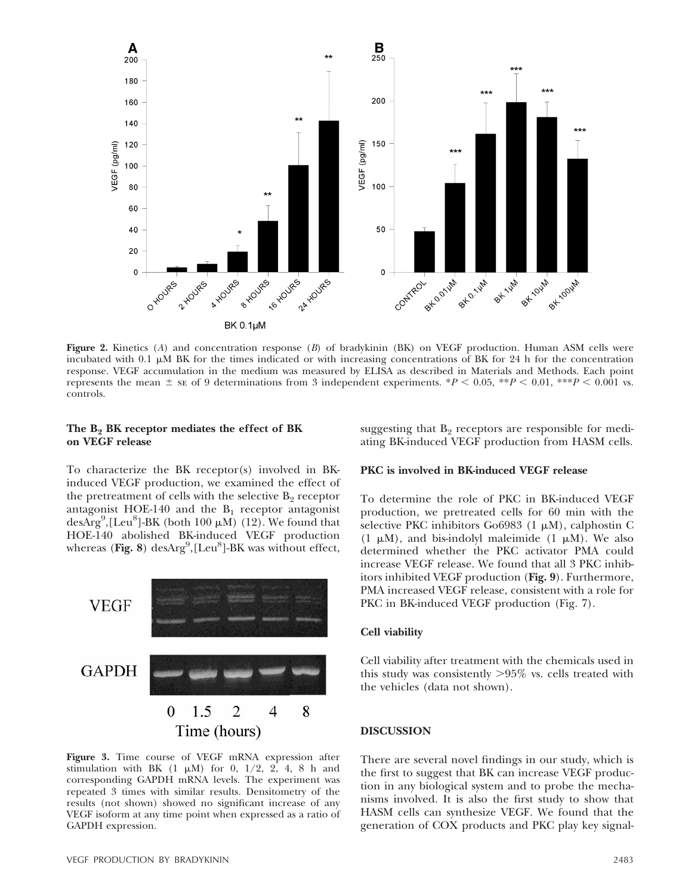

**Figure 2.** Kinetics (*A*) and concentration response (*B*) of bradykinin (BK) on VEGF production. Human ASM cells were incubated with 0.1  $\mu$ M BK for the times indicated or with increasing concentrations of BK for 24 h for the concentration response. VEGF accumulation in the medium was measured by ELISA as described in Materials and Methods. Each point represents the mean  $\pm$  se of 9 determinations from 3 independent experiments. \**P* < 0.05, \*\**P* < 0.01, \*\*\**P* < 0.001 vs. controls.

# The B<sub>2</sub> BK receptor mediates the effect of BK **on VEGF release**

To characterize the BK receptor(s) involved in BKinduced VEGF production, we examined the effect of the pretreatment of cells with the selective  $B_2$  receptor antagonist HOE-140 and the  $B_1$  receptor antagonist desArg<sup>9</sup>, [Leu<sup>8</sup>]-BK (both 100  $\mu$ M) (12). We found that HOE-140 abolished BK-induced VEGF production whereas (Fig. 8) desArg<sup>9</sup>,[Leu<sup>8</sup>]-BK was without effect,



**Figure 3.** Time course of VEGF mRNA expression after stimulation with BK  $(1 \mu M)$  for 0, 1/2, 2, 4, 8 h and corresponding GAPDH mRNA levels. The experiment was repeated 3 times with similar results. Densitometry of the results (not shown) showed no significant increase of any VEGF isoform at any time point when expressed as a ratio of GAPDH expression.

suggesting that  $B<sub>2</sub>$  receptors are responsible for mediating BK-induced VEGF production from HASM cells.

## **PKC is involved in BK-induced VEGF release**

To determine the role of PKC in BK-induced VEGF production, we pretreated cells for 60 min with the selective PKC inhibitors Go6983  $(1 \mu M)$ , calphostin C  $(1 \mu M)$ , and bis-indolyl maleimide  $(1 \mu M)$ . We also determined whether the PKC activator PMA could increase VEGF release. We found that all 3 PKC inhibitors inhibited VEGF production (**Fig. 9**). Furthermore, PMA increased VEGF release, consistent with a role for PKC in BK-induced VEGF production (Fig. 7).

# **Cell viability**

Cell viability after treatment with the chemicals used in this study was consistently  $>95\%$  vs. cells treated with the vehicles (data not shown).

# **DISCUSSION**

There are several novel findings in our study, which is the first to suggest that BK can increase VEGF production in any biological system and to probe the mechanisms involved. It is also the first study to show that HASM cells can synthesize VEGF. We found that the generation of COX products and PKC play key signal-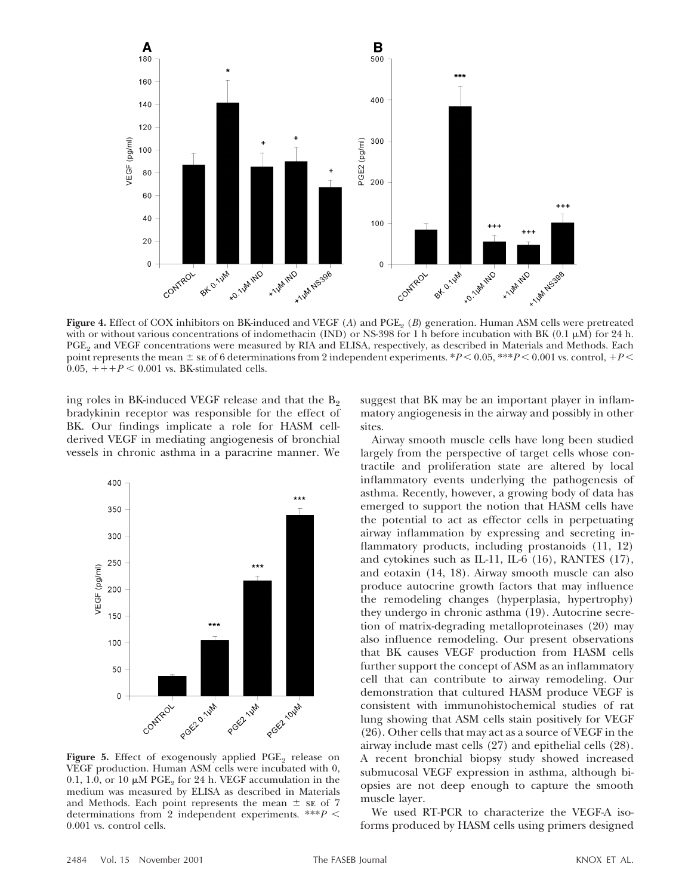

Figure 4. Effect of COX inhibitors on BK-induced and VEGF (A) and PGE<sub>2</sub> (B) generation. Human ASM cells were pretreated with or without various concentrations of indomethacin (IND) or NS-398 for 1 h before incubation with BK (0.1  $\mu$ M) for 24 h. PGE<sub>2</sub> and VEGF concentrations were measured by RIA and ELISA, respectively, as described in Materials and Methods. Each point represents the mean  $\pm$  se of 6 determinations from 2 independent experiments.  $*P < 0.05$ ,  $**P < 0.001$  vs. control,  $+P <$  $0.05, ++P < 0.001$  vs. BK-stimulated cells.

ing roles in BK-induced VEGF release and that the  $B_2$ bradykinin receptor was responsible for the effect of BK. Our findings implicate a role for HASM cellderived VEGF in mediating angiogenesis of bronchial vessels in chronic asthma in a paracrine manner. We



**Figure 5.** Effect of exogenously applied  $PGE_2$  release on VEGF production. Human ASM cells were incubated with 0, 0.1, 1.0, or 10  $\mu$ M PGE<sub>2</sub> for 24 h. VEGF accumulation in the medium was measured by ELISA as described in Materials and Methods. Each point represents the mean  $\pm$  se of 7 determinations from 2 independent experiments. \*\*\* $P$  < 0.001 vs. control cells.

suggest that BK may be an important player in inflammatory angiogenesis in the airway and possibly in other sites.

Airway smooth muscle cells have long been studied largely from the perspective of target cells whose contractile and proliferation state are altered by local inflammatory events underlying the pathogenesis of asthma. Recently, however, a growing body of data has emerged to support the notion that HASM cells have the potential to act as effector cells in perpetuating airway inflammation by expressing and secreting inflammatory products, including prostanoids (11, 12) and cytokines such as IL-11, IL-6 (16), RANTES (17), and eotaxin (14, 18). Airway smooth muscle can also produce autocrine growth factors that may influence the remodeling changes (hyperplasia, hypertrophy) they undergo in chronic asthma (19). Autocrine secretion of matrix-degrading metalloproteinases (20) may also influence remodeling. Our present observations that BK causes VEGF production from HASM cells further support the concept of ASM as an inflammatory cell that can contribute to airway remodeling. Our demonstration that cultured HASM produce VEGF is consistent with immunohistochemical studies of rat lung showing that ASM cells stain positively for VEGF (26). Other cells that may act as a source of VEGF in the airway include mast cells (27) and epithelial cells (28). A recent bronchial biopsy study showed increased submucosal VEGF expression in asthma, although biopsies are not deep enough to capture the smooth muscle layer.

We used RT-PCR to characterize the VEGF-A isoforms produced by HASM cells using primers designed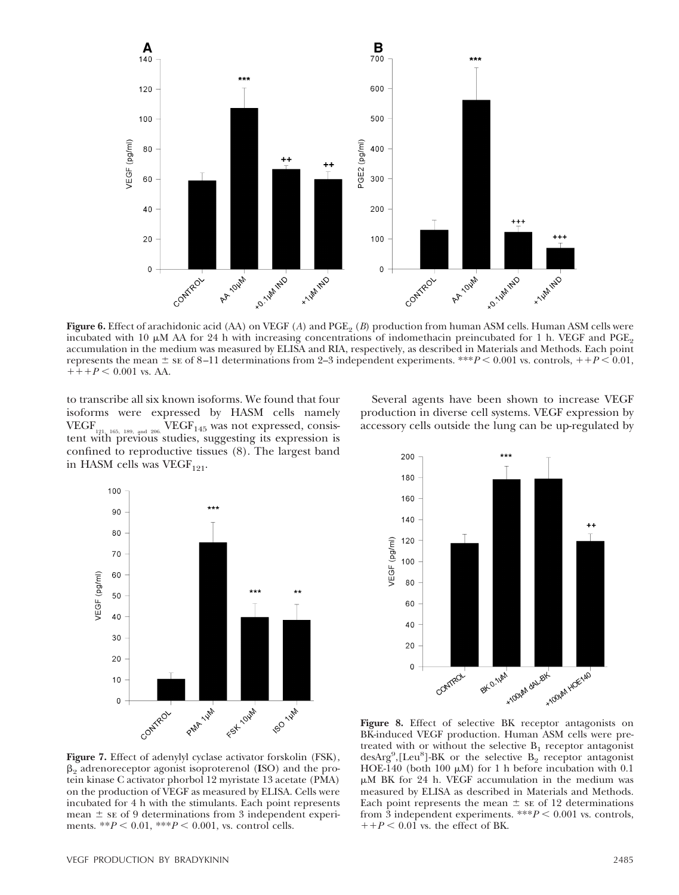

**Figure 6.** Effect of arachidonic acid (AA) on VEGF (A) and PGE<sub>2</sub> (B) production from human ASM cells. Human ASM cells were incubated with 10  $\mu$ M AA for 24 h with increasing concentrations of indomethacin preincubated for 1 h. VEGF and PGE<sub>2</sub> accumulation in the medium was measured by ELISA and RIA, respectively, as described in Materials and Methods. Each point represents the mean  $\pm$  se of 8–11 determinations from 2–3 independent experiments. \*\*\* $P$  < 0.001 vs. controls,  $++P$  < 0.01,  $+++P < 0.001$  vs. AA.

to transcribe all six known isoforms. We found that four isoforms were expressed by HASM cells namely VEGF<sub>...</sub>  $VEGF_{145}$  was not expressed, consistent  $VEGF_{145}$  was not expressed, consistent with previous studies, suggesting its expression is confined to reproductive tissues (8). The largest band in HASM cells was VEGF<sub>121</sub>.

100 90 80 70 /EGF (pg/ml) 60 50 40 30 20  $10$  $\mathbf 0$ PMA LIM For lover **FO** light Contract



**Figure 7.** Effect of adenylyl cyclase activator forskolin (FSK),  $\beta_2$  adrenoreceptor agonist isoproterenol (**I**SO) and the protein kinase C activator phorbol 12 myristate 13 acetate (PMA) on the production of VEGF as measured by ELISA. Cells were incubated for 4 h with the stimulants. Each point represents mean  $\pm$  se of 9 determinations from 3 independent experiments. \*\* $P < 0.01$ , \*\*\* $P < 0.001$ , vs. control cells.

**Figure 8.** Effect of selective BK receptor antagonists on BK-induced VEGF production. Human ASM cells were pretreated with or without the selective  $B_1$  receptor antagonist  $desArg<sup>9</sup>, [Leu<sup>8</sup>] - BK$  or the selective  $B_2$  receptor antagonist HOE-140 (both 100  $\mu$ M) for 1 h before incubation with 0.1  $\mu$ M BK for 24 h. VEGF accumulation in the medium was measured by ELISA as described in Materials and Methods. Each point represents the mean  $\pm$  se of 12 determinations from 3 independent experiments.  $***P < 0.001$  vs. controls,  $1+P < 0.01$  vs. the effect of BK.

Several agents have been shown to increase VEGF production in diverse cell systems. VEGF expression by accessory cells outside the lung can be up-regulated by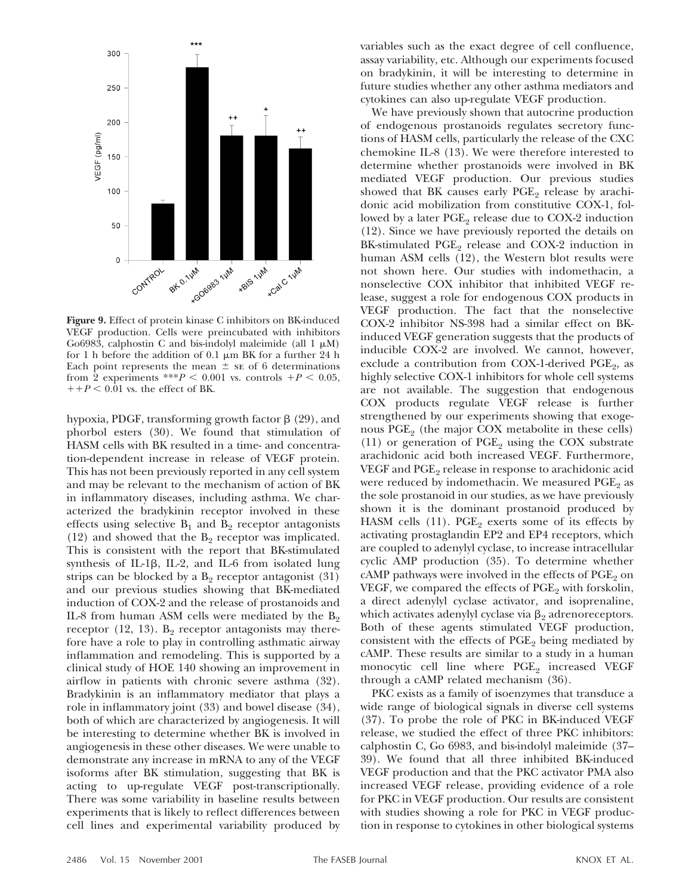

**Figure 9.** Effect of protein kinase C inhibitors on BK-induced VEGF production. Cells were preincubated with inhibitors Go6983, calphostin C and bis-indolyl maleimide (all  $1 \mu$ M) for 1 h before the addition of 0.1  $\mu$ m BK for a further 24 h Each point represents the mean  $\pm$  se of 6 determinations from 2 experiments \*\*\* $P < 0.001$  vs. controls  $+P < 0.05$ ,  $1+p < 0.01$  vs. the effect of BK.

hypoxia, PDGF, transforming growth factor  $\beta$  (29), and phorbol esters (30). We found that stimulation of HASM cells with BK resulted in a time- and concentration-dependent increase in release of VEGF protein. This has not been previously reported in any cell system and may be relevant to the mechanism of action of BK in inflammatory diseases, including asthma. We characterized the bradykinin receptor involved in these effects using selective  $B_1$  and  $B_2$  receptor antagonists (12) and showed that the  $B_2$  receptor was implicated. This is consistent with the report that BK-stimulated synthesis of IL-1 $\beta$ , IL-2, and IL-6 from isolated lung strips can be blocked by a  $B_2$  receptor antagonist (31) and our previous studies showing that BK-mediated induction of COX-2 and the release of prostanoids and IL-8 from human ASM cells were mediated by the  $B<sub>2</sub>$ receptor (12, 13).  $B_2$  receptor antagonists may therefore have a role to play in controlling asthmatic airway inflammation and remodeling. This is supported by a clinical study of HOE 140 showing an improvement in airflow in patients with chronic severe asthma (32). Bradykinin is an inflammatory mediator that plays a role in inflammatory joint (33) and bowel disease (34), both of which are characterized by angiogenesis. It will be interesting to determine whether BK is involved in angiogenesis in these other diseases. We were unable to demonstrate any increase in mRNA to any of the VEGF isoforms after BK stimulation, suggesting that BK is acting to up-regulate VEGF post-transcriptionally. There was some variability in baseline results between experiments that is likely to reflect differences between cell lines and experimental variability produced by variables such as the exact degree of cell confluence, assay variability, etc. Although our experiments focused on bradykinin, it will be interesting to determine in future studies whether any other asthma mediators and cytokines can also up-regulate VEGF production.

We have previously shown that autocrine production of endogenous prostanoids regulates secretory functions of HASM cells, particularly the release of the CXC chemokine IL-8 (13). We were therefore interested to determine whether prostanoids were involved in BK mediated VEGF production. Our previous studies showed that BK causes early  $PGE<sub>2</sub>$  release by arachidonic acid mobilization from constitutive COX-1, followed by a later  $PGE_2$  release due to COX-2 induction (12). Since we have previously reported the details on BK-stimulated  $PGE_2$  release and COX-2 induction in human ASM cells (12), the Western blot results were not shown here. Our studies with indomethacin, a nonselective COX inhibitor that inhibited VEGF release, suggest a role for endogenous COX products in VEGF production. The fact that the nonselective COX-2 inhibitor NS-398 had a similar effect on BKinduced VEGF generation suggests that the products of inducible COX-2 are involved. We cannot, however, exclude a contribution from COX-1-derived PGE<sub>2</sub>, as highly selective COX-1 inhibitors for whole cell systems are not available. The suggestion that endogenous COX products regulate VEGF release is further strengthened by our experiments showing that exogenous  $PGE_2$  (the major COX metabolite in these cells) (11) or generation of  $PGE_2$  using the COX substrate arachidonic acid both increased VEGF. Furthermore, VEGF and PGE<sub>2</sub> release in response to arachidonic acid were reduced by indomethacin. We measured  $PGE_2$  as the sole prostanoid in our studies, as we have previously shown it is the dominant prostanoid produced by HASM cells  $(11)$ . PGE<sub>2</sub> exerts some of its effects by activating prostaglandin EP2 and EP4 receptors, which are coupled to adenylyl cyclase, to increase intracellular cyclic AMP production (35). To determine whether  $cAMP$  pathways were involved in the effects of  $PGE_2$  on VEGF, we compared the effects of  $PGE<sub>2</sub>$  with forskolin, a direct adenylyl cyclase activator, and isoprenaline, which activates adenylyl cyclase via  $\beta_2$  adrenoreceptors. Both of these agents stimulated VEGF production, consistent with the effects of  $PGE<sub>2</sub>$  being mediated by cAMP. These results are similar to a study in a human monocytic cell line where  $PGE<sub>2</sub>$  increased VEGF through a cAMP related mechanism (36).

PKC exists as a family of isoenzymes that transduce a wide range of biological signals in diverse cell systems (37). To probe the role of PKC in BK-induced VEGF release, we studied the effect of three PKC inhibitors: calphostin C, Go 6983, and bis-indolyl maleimide (37– 39). We found that all three inhibited BK-induced VEGF production and that the PKC activator PMA also increased VEGF release, providing evidence of a role for PKC in VEGF production. Our results are consistent with studies showing a role for PKC in VEGF production in response to cytokines in other biological systems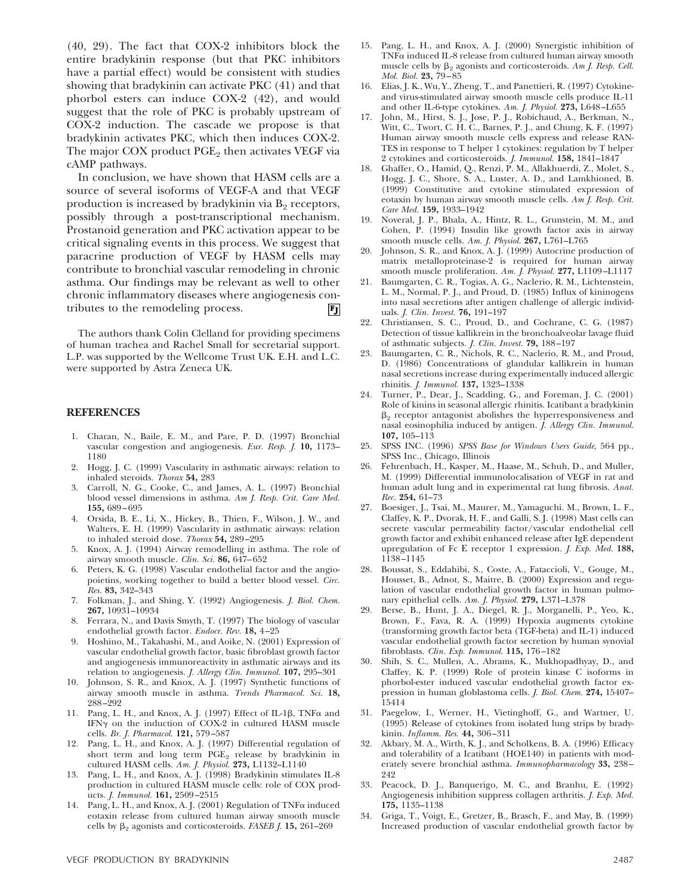(40, 29). The fact that COX-2 inhibitors block the entire bradykinin response (but that PKC inhibitors have a partial effect) would be consistent with studies showing that bradykinin can activate PKC (41) and that phorbol esters can induce COX-2 (42), and would suggest that the role of PKC is probably upstream of COX-2 induction. The cascade we propose is that bradykinin activates PKC, which then induces COX-2. The major COX product  $PGE<sub>2</sub>$  then activates VEGF via cAMP pathways.

In conclusion, we have shown that HASM cells are a source of several isoforms of VEGF-A and that VEGF production is increased by bradykinin via  $B<sub>2</sub>$  receptors, possibly through a post-transcriptional mechanism. Prostanoid generation and PKC activation appear to be critical signaling events in this process. We suggest that paracrine production of VEGF by HASM cells may contribute to bronchial vascular remodeling in chronic asthma. Our findings may be relevant as well to other chronic inflammatory diseases where angiogenesis contributes to the remodeling process.  $|F_J|$ 

The authors thank Colin Clelland for providing specimens of human trachea and Rachel Small for secretarial support. L.P. was supported by the Wellcome Trust UK. E.H. and L.C. were supported by Astra Zeneca UK.

### **REFERENCES**

- 1. Charan, N., Baile, E. M., and Pare, P. D. (1997) Bronchial vascular congestion and angiogenesis. *Eur. Resp. J.* **10,** 1173– 1180
- 2. Hogg, J. C. (1999) Vascularity in asthmatic airways: relation to inhaled steroids. *Thorax* **54,** 283
- 3. Carroll, N. G., Cooke, C., and James, A. L. (1997) Bronchial blood vessel dimensions in asthma. *Am J. Resp. Crit. Care Med.* **155,** 689–695
- 4. Orsida, B. E., Li, X., Hickey, B., Thien, F., Wilson, J. W., and Walters, E. H. (1999) Vascularity in asthmatic airways: relation to inhaled steroid dose. *Thorax* **54,** 289–295
- 5. Knox, A. J. (1994) Airway remodelling in asthma. The role of airway smooth muscle. *Clin. Sci.* **86,** 647–652
- 6. Peters, K. G. (1998) Vascular endothelial factor and the angiopoietins, working together to build a better blood vessel. *Circ. Res.* **83,** 342–343
- 7. Folkman, J., and Shing, Y. (1992) Angiogenesis. *J. Biol. Chem.* **267,** 10931–10934
- 8. Ferrara, N., and Davis Smyth, T. (1997) The biology of vascular endothelial growth factor. *Endocr. Rev.* **18,** 4–25
- 9. Hoshino, M., Takahashi, M., and Aoike, N. (2001) Expression of vascular endothelial growth factor, basic fibroblast growth factor and angiogenesis immunoreactivity in asthmatic airways and its relation to angiogenesis. *J. Allergy Clin. Immunol.* **107,** 295–301
- 10. Johnson, S. R., and Knox, A. J. (1997) Synthetic functions of airway smooth muscle in asthma. *Trends Pharmacol. Sci.* **18,** 288–292
- 11. Pang, L. H., and Knox, A. J. (1997) Effect of IL-1 $\beta$ , TNF $\alpha$  and IFN $\gamma$  on the induction of COX-2 in cultured HASM muscle cells. *Br. J. Pharmacol.* **121,** 579–587
- 12. Pang, L. H., and Knox, A. J. (1997) Differential regulation of short term and long term  $PGE_2$  release by bradykinin in cultured HASM cells. *Am. J. Physiol.* **273,** L1132–L1140
- 13. Pang, L. H., and Knox, A. J. (1998) Bradykinin stimulates IL-8 production in cultured HASM muscle cells: role of COX products. *J. Immunol.* **161,** 2509–2515
- 14. Pang, L. H., and Knox, A. J. (2001) Regulation of TNFa induced eotaxin release from cultured human airway smooth muscle cells by  $\beta_2$  agonists and corticosteroids. *FASEB J.* **15,** 261–269
- 15. Pang, L. H., and Knox, A. J. (2000) Synergistic inhibition of  $TNF\alpha$  induced IL-8 release from cultured human airway smooth muscle cells by  $\beta_2$  agonists and corticosteroids. Am *J. Resp. Cell. Mol. Biol.* **23,** 79–85
- 16. Elias, J. K., Wu, Y., Zheng, T., and Panettieri, R. (1997) Cytokineand virus-stimulated airway smooth muscle cells produce IL-11 and other IL-6-type cytokines. *Am. J. Physiol.* **273,** L648–L655
- 17. John, M., Hirst, S. J., Jose, P. J., Robichaud, A., Berkman, N., Witt, C., Twort, C. H. C., Barnes, P. J., and Chung, K. F. (1997) Human airway smooth muscle cells express and release RAN-TES in response to T helper 1 cytokines: regulation by T helper 2 cytokines and corticosteroids. *J. Immunol.* **158,** 1841–1847
- 18. Ghaffer, O., Hamid, Q., Renzi, P. M., Allakhuerdi, Z., Molet, S., Hogg, J. C., Shore, S. A., Luster, A. D., and Lamkhioned, B. (1999) Constitutive and cytokine stimulated expression of eotaxin by human airway smooth muscle cells. *Am J. Resp. Crit. Care Med.* **159,** 1933–1942
- 19. Noveral, J. P., Bhala, A., Hintz, R. L., Grunstein, M. M., and Cohen, P. (1994) Insulin like growth factor axis in airway smooth muscle cells. *Am. J. Physiol.* **267,** L761–L765
- 20. Johnson, S. R., and Knox, A. J. (1999) Autocrine production of matrix metalloproteinase-2 is required for human airway smooth muscle proliferation. *Am. J. Physiol.* **277,** L1109–L1117
- 21. Baumgarten, C. R., Togias, A. G., Naclerio, R. M., Lichtenstein, L. M., Normal, P. J., and Proud, D. (1985) Influx of kininogens into nasal secretions after antigen challenge of allergic individuals. *J. Clin. Invest.* **76,** 191–197
- 22. Christiansen, S. C., Proud, D., and Cochrane, C. G. (1987) Detection of tissue kallikrein in the bronchoalveolar lavage fluid of asthmatic subjects. *J. Clin. Invest.* **79,** 188–197
- 23. Baumgarten, C. R., Nichols, R. C., Naclerio, R. M., and Proud, D. (1986) Concentrations of glandular kallikrein in human nasal secretions increase during experimentally induced allergic rhinitis. *J. Immunol.* **137,** 1323–1338
- 24. Turner, P., Dear, J., Scadding, G., and Foreman, J. C. (2001) Role of kinins in seasonal allergic rhinitis. Icatibant a bradykinin  $\beta_2$  receptor antagonist abolishes the hyperresponsiveness and nasal eosinophilia induced by antigen. *J. Allergy Clin. Immunol.* **107,** 105–113
- 25. SPSS INC. (1996) *SPSS Base for Windows Users Guide*, 564 pp., SPSS Inc., Chicago, Illinois
- 26. Fehrenbach, H., Kasper, M., Haase, M., Schuh, D., and Muller, M. (1999) Differential immunolocalisation of VEGF in rat and human adult lung and in experimental rat lung fibrosis. *Anat. Rec.* **254,** 61–73
- 27. Boesiger, J., Tsai, M., Maurer, M., Yamaguchi. M., Brown, L. F., Claffey, K. P., Dvorak, H. F., and Galli, S. J. (1998) Mast cells can secrete vascular permeability factor/vascular endothelial cell growth factor and exhibit enhanced release after IgE dependent upregulation of Fc E receptor 1 expression. *J. Exp. Med.* **188,** 1138–1145
- 28. Boussat, S., Eddahibi, S., Coste, A., Fataccioli, V., Gouge, M., Housset, B., Adnot, S., Maitre, B. (2000) Expression and regulation of vascular endothelial growth factor in human pulmonary epithelial cells. *Am. J. Physiol.* **279,** L371–L378
- 29. Berse, B., Hunt, J. A., Diegel, R. J., Morganelli, P., Yeo, K., Brown, F., Fava, R. A. (1999) Hypoxia augments cytokine (transforming growth factor beta (TGF-beta) and IL-1) induced vascular endothelial growth factor secretion by human synovial fibroblasts. *Clin. Exp. Immunol.* **115,** 176–182
- 30. Shih, S. C., Mullen, A., Abrams, K., Mukhopadhyay, D., and Claffey, K. P. (1999) Role of protein kinase C isoforms in phorbol-ester induced vascular endothelial growth factor expression in human globlastoma cells. *J. Biol. Chem.* **274,** 15407– 15414
- 31. Paegelow, I., Werner, H., Vietinghoff, G., and Wartner, U. (1995) Release of cytokines from isolated lung strips by bradykinin. *Inflamm. Res.* **44,** 306–311
- 32. Akbary, M. A., Wirth, K. J., and Scholkens, B. A. (1996) Efficacy and tolerability of a Icatibant (HOE140) in patients with moderately severe bronchial asthma. *Immunopharmacology* **33,** 238– 242
- 33. Peacock, D. J., Banquerigo, M. C., and Branhu, E. (1992) Angiogenesis inhibition suppress collagen arthritis. *J. Exp. Med.* **175,** 1135–1138
- 34. Griga, T., Voigt, E., Gretzer, B., Brasch, F., and May, B. (1999) Increased production of vascular endothelial growth factor by